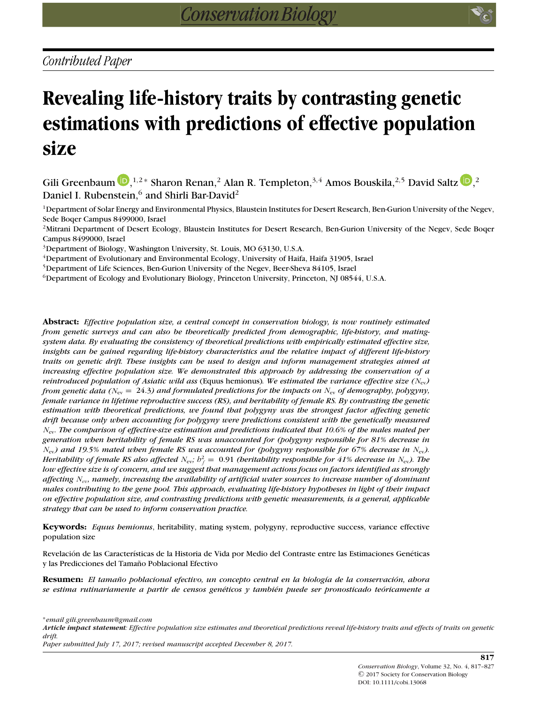# **Revealing life-history traits by contrasting genetic estimations with predictions of effective population size**

Gili Greenbaum  $\bigcup_{n=1}^{\infty}$ [,](http://orcid.org/0000-0002-7437-0472)<sup>1,2</sup> \* Sharon Renan,<sup>2</sup> Alan R. Templeton,<sup>3,4</sup> Amos Bouskila,<sup>2,5</sup> David Saltz  $\bigcup_{n=1}^{\infty}$ ,<sup>2</sup> Daniel I. Rubenstein,<sup>6</sup> and Shirli Bar-David<sup>2</sup>

<sup>1</sup>Department of Solar Energy and Environmental Physics, Blaustein Institutes for Desert Research, Ben-Gurion University of the Negev, Sede Boqer Campus 8499000, Israel

<sup>2</sup>Mitrani Department of Desert Ecology, Blaustein Institutes for Desert Research, Ben-Gurion University of the Negev, Sede Boqer Campus 8499000, Israel

3Department of Biology, Washington University, St. Louis, MO 63130, U.S.A.

4Department of Evolutionary and Environmental Ecology, University of Haifa, Haifa 31905, Israel

5Department of Life Sciences, Ben-Gurion University of the Negev, Beer-Sheva 84105, Israel

6Department of Ecology and Evolutionary Biology, Princeton University, Princeton, NJ 08544, U.S.A.

**Abstract:** *Effective population size, a central concept in conservation biology, is now routinely estimated from genetic surveys and can also be theoretically predicted from demographic, life-history, and matingsystem data. By evaluating the consistency of theoretical predictions with empirically estimated effective size, insights can be gained regarding life-history characteristics and the relative impact of different life-history traits on genetic drift. These insights can be used to design and inform management strategies aimed at increasing effective population size. We demonstrated this approach by addressing the conservation of a reintroduced population of Asiatic wild ass* (Equus hemionus)*. We estimated the variance effective size (N*ev*) from genetic data (N*ev = 24*.*3*) and formulated predictions for the impacts on N*ev *of demography, polygyny, female variance in lifetime reproductive success (RS), and heritability of female RS. By contrasting the genetic estimation with theoretical predictions, we found that polygyny was the strongest factor affecting genetic drift because only when accounting for polygyny were predictions consistent with the genetically measured N*ev*. The comparison of effective-size estimation and predictions indicated that 10.6% of the males mated per generation when heritability of female RS was unaccounted for (polygyny responsible for 81% decrease in N*ev*) and 19.5% mated when female RS was accounted for (polygyny responsible for 67% decrease in N*ev*). Heritability of female RS also affected*  $N_{\rm ev}$ *;*  $b_f^2=0.91$  *(heritability responsible for 41% decrease in*  $N_{\rm ev}$ *). The low effective size is of concern, and we suggest that management actions focus on factors identified as strongly affecting Ne<sup>v</sup> , namely, increasing the availability of artificial water sources to increase number of dominant males contributing to the gene pool. This approach, evaluating life-history hypotheses in light of their impact on effective population size, and contrasting predictions with genetic measurements, is a general, applicable strategy that can be used to inform conservation practice.*

**Keywords:** *Equus hemionus*, heritability, mating system, polygyny, reproductive success, variance effective population size

Revelación de las Características de la Historia de Vida por Medio del Contraste entre las Estimaciones Genéticas y las Predicciones del Tamaño Poblacional Efectivo

**Resumen:** *El tamaño poblacional efectivo, un concepto central en la biología de la conservación, abora se estima rutinariamente a partir de censos gen´eticos y tambi´en puede ser pronosticado teoricamente a ´*

∗*email gili.greenbaum@gmail.com*

*Article impact statement: Effective population size estimates and theoretical predictions reveal life-history traits and effects of traits on genetic drift.*

*Paper submitted July 17, 2017; revised manuscript accepted December 8, 2017.*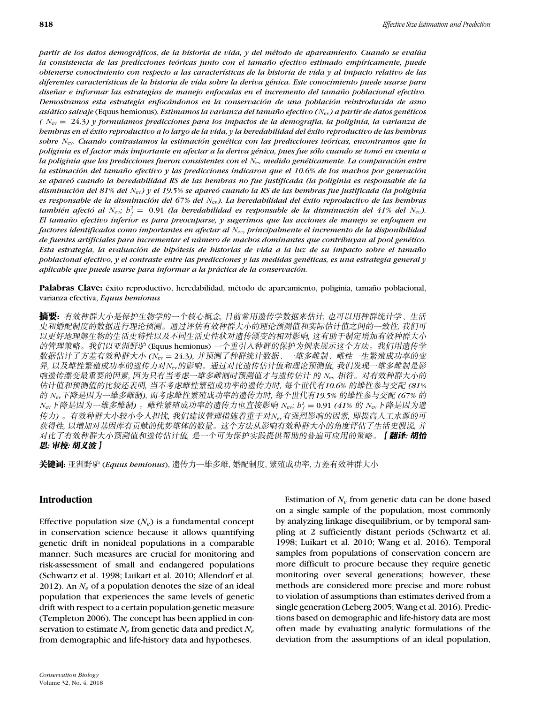*partir de los datos demograficos, de la historia de vida, y del m ´ ´etodo de apareamiento. Cuando se evalua´ la consistencia de las predicciones teoricas junto con el tama ´ no efectivo estimado emp ˜ ´ıricamente, puede obtenerse conocimiento con respecto a las caracter´ısticas de la historia de vida y al impacto relativo de las diferentes caracter´ısticas de la historia de vida sobre la deriva g´enica. Este conocimiento puede usarse para disenar e informar las estrategias de manejo enfocadas en el incremento del tama ˜ no poblacional efectivo. ˜ Demostramos esta estrategia enfocandonos en la conservaci ´ on de una poblaci ´ on reintroducida de asno ´ asiatico salvaje ´* (Equus hemionus)*. Estimamos la varianza del tamano efectivo ( ˜ N*ev*) a partir de datos gen´eticos ( N*ev = 24*.*3*) y formulamos predicciones para los impactos de la demograf´ıa, la poliginia, la varianza de hembras en el ´exito reproductivo a lo largo de la vida, y la heredabilidad del ´exito reproductivo de las hembras sobre N*ev*. Cuando contrastamos la estimacion gen ´ ´etica con las predicciones teoricas, encontramos que la ´ poliginia es el factor mas importante en afectar a la deriva g ´ ´enica, pues fue solo cuando se tom ´ o en cuenta a ´ la poliginia que las predicciones fueron consistentes con el N*ev *medido gen´eticamente. La comparacion entre ´ la estimación del tamaño efectivo y las predicciones indicaron que el 10.6% de los machos por generación se apareo cuando la heredabilidad RS de las hembras no fue justificada (la poliginia es responsable de la ´ disminucion del 81% del ´ N*ev*) y el 19.5% se apareo cuando la RS de las hembras fue justificada (la poliginia ´ es responsable de la disminucion del 67% del ´ N*ev*). La heredabilidad del ´exito reproductivo de las hembras*  $t$ ambién afectó al  $N_{ev};$   $h_f^2 = \ 0.91$  (la heredabilidad es responsable de la disminución del 41% del  $N_{ev}$ ). *El tamano efectivo inferior es para preocuparse, y sugerimos que las acciones de manejo se enfoquen en ˜ factores identificados como importantes en afectar al Ne<sup>v</sup> , principalmente el incremento de la disponibilidad de fuentes artificiales para incrementar el numero de machos dominantes que contribuyan al pool gen ´ ´etico. Esta estrategia, la evaluacion de hip ´ otesis de historias de vida a la luz de su impacto sobre el tama ´ no˜ poblacional efectivo, y el contraste entre las predicciones y las medidas gen´eticas, es una estrategia general y aplicable que puede usarse para informar a la practica de la conservaci ´ on. ´*

Palabras Clave: éxito reproductivo, heredabilidad, método de apareamiento, poliginia, tamaño poblacional, varianza efectiva, *Equus hemionus*

摘要: 有效种群大小是保护生物学的一个核心概念, 目前常用遗传学数据来估计, 也可以用种群统计学、生活 史和婚配制度的数据进行理论预测。通过评估有效种群大小的理论预测值和实际估计值之间的一致性, 我们可 以更好地理解生物的生活史特性以及不同生活史性状对遗传漂变的相对影响, 这有助于制定增加有效种群大小 的管理策略。我们以亚洲野驴 (Equus hemionus) 一个重引人种群的保护为例来展示这个方法。我们用遗传学 --------- *(N*ev = 24*.*3*),* --------------- 异, 以及雌性繁殖成功率的遗传力对N<sub>ev</sub>的影响。通过对比遗传估计值和理论预测值, 我们发现一雄多雌制是影 响遗传漂变最重要的因素, 因为只有当考虑一雄多雌制时预测值才与遗传估计 的 N<sub>ev</sub> 相符。对有效种群大小的 估计值和预测值的比较还表明, 当不考虑雌性繁殖成功率的遗传力时, 每个世代有10.6% 的雄性参与交配 (81% 的 Nev下降是因为一雄多雌制), 而考虑雌性繁殖成功率的遗传力时, 每个世代有19.5% 的雄性参与交配 (67% 的  $N_{\rm ev}$ 下降是因为一雄多雌制)。雌性繁殖成功率的遗传力也直接影响  $N_{\rm ev}$ ;  $b_f^2 = 0.91$  *(41% 的*  $N_{\rm ev}$ *下降是因为遗* 传力) 。有效种群大小较小令人担忧, 我们建议管理措施着重于对N<sub>ev</sub>有强烈影响的因素, 即提高人工水源的可 获得性, 以增加对基因库有贡献的优势雄体的数量。这个方法从影响有效种群大小的角度评估了生活史假说, 并 对比了有效种群大小预测值和遗传估计值,是一个可为保护实践提供帮助的普遍可应用的策略。 【**翻译: 胡怡** 思; 审校: 胡义波 】

关键词: 亚洲野驴 (Equus bemionus), 遗传力一雄多雌, 婚配制度, 繁殖成功率, 方差有效种群大小

## **Introduction**

Effective population size  $(N_e)$  is a fundamental concept in conservation science because it allows quantifying genetic drift in nonideal populations in a comparable manner. Such measures are crucial for monitoring and risk-assessment of small and endangered populations (Schwartz et al. 1998; Luikart et al. 2010; Allendorf et al. 2012). An *Ne* of a population denotes the size of an ideal population that experiences the same levels of genetic drift with respect to a certain population-genetic measure (Templeton 2006). The concept has been applied in conservation to estimate *Ne* from genetic data and predict *Ne* from demographic and life-history data and hypotheses.

*Conservation Biology* Volume 32, No. 4, 2018

Estimation of *Ne* from genetic data can be done based on a single sample of the population, most commonly by analyzing linkage disequilibrium, or by temporal sampling at 2 sufficiently distant periods (Schwartz et al. 1998; Luikart et al. 2010; Wang et al. 2016). Temporal samples from populations of conservation concern are more difficult to procure because they require genetic monitoring over several generations; however, these methods are considered more precise and more robust to violation of assumptions than estimates derived from a single generation (Leberg 2005; Wang et al. 2016). Predictions based on demographic and life-history data are most often made by evaluating analytic formulations of the deviation from the assumptions of an ideal population,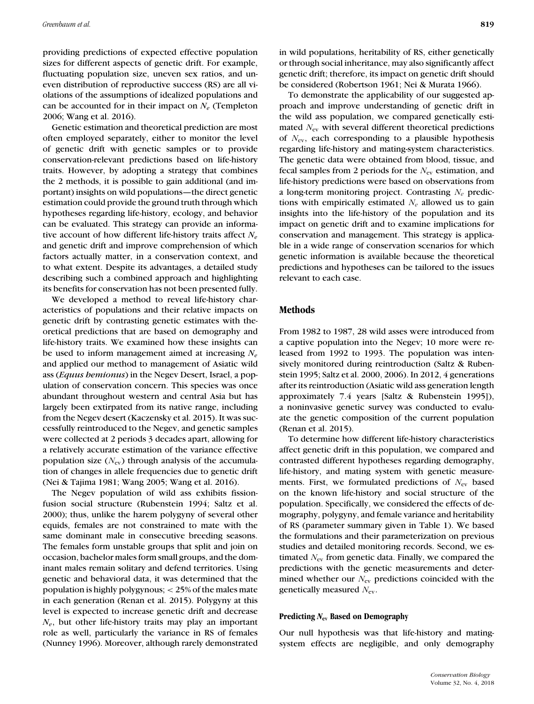providing predictions of expected effective population sizes for different aspects of genetic drift. For example, fluctuating population size, uneven sex ratios, and uneven distribution of reproductive success (RS) are all violations of the assumptions of idealized populations and can be accounted for in their impact on  $N_e$  (Templeton 2006; Wang et al. 2016).

Genetic estimation and theoretical prediction are most often employed separately, either to monitor the level of genetic drift with genetic samples or to provide conservation-relevant predictions based on life-history traits. However, by adopting a strategy that combines the 2 methods, it is possible to gain additional (and important) insights on wild populations—the direct genetic estimation could provide the ground truth through which hypotheses regarding life-history, ecology, and behavior can be evaluated. This strategy can provide an informative account of how different life-history traits affect *Ne* and genetic drift and improve comprehension of which factors actually matter, in a conservation context, and to what extent. Despite its advantages, a detailed study describing such a combined approach and highlighting its benefits for conservation has not been presented fully.

We developed a method to reveal life-history characteristics of populations and their relative impacts on genetic drift by contrasting genetic estimates with theoretical predictions that are based on demography and life-history traits. We examined how these insights can be used to inform management aimed at increasing *Ne* and applied our method to management of Asiatic wild ass (*Equus hemionus*) in the Negev Desert, Israel, a population of conservation concern. This species was once abundant throughout western and central Asia but has largely been extirpated from its native range, including from the Negev desert (Kaczensky et al. 2015). It was successfully reintroduced to the Negev, and genetic samples were collected at 2 periods 3 decades apart, allowing for a relatively accurate estimation of the variance effective population size  $(N_{\rm ev})$  through analysis of the accumulation of changes in allele frequencies due to genetic drift (Nei & Tajima 1981; Wang 2005; Wang et al. 2016).

The Negev population of wild ass exhibits fissionfusion social structure (Rubenstein 1994; Saltz et al. 2000); thus, unlike the harem polygyny of several other equids, females are not constrained to mate with the same dominant male in consecutive breeding seasons. The females form unstable groups that split and join on occasion, bachelor males form small groups, and the dominant males remain solitary and defend territories. Using genetic and behavioral data, it was determined that the population is highly polygynous; *<* 25% of the males mate in each generation (Renan et al. 2015). Polygyny at this level is expected to increase genetic drift and decrease *Ne*, but other life-history traits may play an important role as well, particularly the variance in RS of females (Nunney 1996). Moreover, although rarely demonstrated

in wild populations, heritability of RS, either genetically or through social inheritance, may also significantly affect genetic drift; therefore, its impact on genetic drift should be considered (Robertson 1961; Nei & Murata 1966).

To demonstrate the applicability of our suggested approach and improve understanding of genetic drift in the wild ass population, we compared genetically estimated  $N_{\rm ev}$  with several different theoretical predictions of *N*ev, each corresponding to a plausible hypothesis regarding life-history and mating-system characteristics. The genetic data were obtained from blood, tissue, and fecal samples from 2 periods for the *N*ev estimation, and life-history predictions were based on observations from a long-term monitoring project. Contrasting *Ne* predictions with empirically estimated *Ne* allowed us to gain insights into the life-history of the population and its impact on genetic drift and to examine implications for conservation and management. This strategy is applicable in a wide range of conservation scenarios for which genetic information is available because the theoretical predictions and hypotheses can be tailored to the issues relevant to each case.

### **Methods**

From 1982 to 1987, 28 wild asses were introduced from a captive population into the Negev; 10 more were released from 1992 to 1993. The population was intensively monitored during reintroduction (Saltz & Rubenstein 1995; Saltz et al. 2000, 2006). In 2012, 4 generations after its reintroduction (Asiatic wild ass generation length approximately 7.4 years [Saltz & Rubenstein 1995]), a noninvasive genetic survey was conducted to evaluate the genetic composition of the current population (Renan et al. 2015).

To determine how different life-history characteristics affect genetic drift in this population, we compared and contrasted different hypotheses regarding demography, life-history, and mating system with genetic measurements. First, we formulated predictions of *N*ev based on the known life-history and social structure of the population. Specifically, we considered the effects of demography, polygyny, and female variance and heritability of RS (parameter summary given in Table 1). We based the formulations and their parameterization on previous studies and detailed monitoring records. Second, we estimated *N*ev from genetic data. Finally, we compared the predictions with the genetic measurements and determined whether our  $N_{\text{ev}}$  predictions coincided with the genetically measured *N*ev.

#### **Predicting** *N***ev Based on Demography**

Our null hypothesis was that life-history and matingsystem effects are negligible, and only demography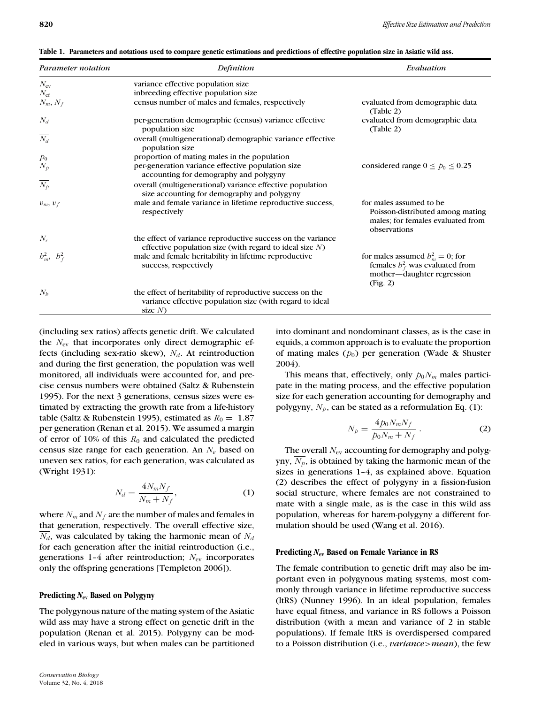|  |  |  |  |  |  |  |  | Table 1. Parameters and notations used to compare genetic estimations and predictions of effective population size in Asiatic wild ass. |
|--|--|--|--|--|--|--|--|-----------------------------------------------------------------------------------------------------------------------------------------|
|--|--|--|--|--|--|--|--|-----------------------------------------------------------------------------------------------------------------------------------------|

| Parameter notation | Definition                                                                                                                        | Evaluation                                                                                                          |
|--------------------|-----------------------------------------------------------------------------------------------------------------------------------|---------------------------------------------------------------------------------------------------------------------|
| $N_{\rm ev}$       | variance effective population size                                                                                                |                                                                                                                     |
| $N_{\rm ef}$       | inbreeding effective population size                                                                                              |                                                                                                                     |
| $N_m, N_f$         | census number of males and females, respectively                                                                                  | evaluated from demographic data<br>(Table 2)                                                                        |
| $N_d$              | per-generation demographic (census) variance effective<br>population size                                                         | evaluated from demographic data<br>(Table 2)                                                                        |
| $\overline{N_d}$   | overall (multigenerational) demographic variance effective<br>population size                                                     |                                                                                                                     |
| $p_0$              | proportion of mating males in the population                                                                                      |                                                                                                                     |
| $N_p$              | per-generation variance effective population size<br>accounting for demography and polygyny                                       | considered range $0 \le p_0 \le 0.25$                                                                               |
| $\overline{N_p}$   | overall (multigenerational) variance effective population<br>size accounting for demography and polygyny                          |                                                                                                                     |
| $v_m, v_f$         | male and female variance in lifetime reproductive success,<br>respectively                                                        | for males assumed to be<br>Poisson-distributed among mating<br>males; for females evaluated from<br>observations    |
| $N_r$              | the effect of variance reproductive success on the variance<br>effective population size (with regard to ideal size $N$ )         |                                                                                                                     |
| $b_m^2$ , $b_f^2$  | male and female heritability in lifetime reproductive<br>success, respectively                                                    | for males assumed $b_m^2 = 0$ ; for<br>females $b_f^2$ was evaluated from<br>mother-daughter regression<br>(Fig. 2) |
| $N_h$              | the effect of heritability of reproductive success on the<br>variance effective population size (with regard to ideal<br>size $N$ |                                                                                                                     |

(including sex ratios) affects genetic drift. We calculated the *N*ev that incorporates only direct demographic effects (including sex-ratio skew),  $N_d$ . At reintroduction and during the first generation, the population was well monitored, all individuals were accounted for, and precise census numbers were obtained (Saltz & Rubenstein 1995). For the next 3 generations, census sizes were estimated by extracting the growth rate from a life-history table (Saltz & Rubenstein 1995), estimated as  $R_0 = 1.87$ per generation (Renan et al. 2015). We assumed a margin of error of 10% of this  $R_0$  and calculated the predicted census size range for each generation. An *Ne* based on uneven sex ratios, for each generation, was calculated as (Wright 1931):

$$
N_d = \frac{4N_m N_f}{N_m + N_f},\tag{1}
$$

where  $N_m$  and  $N_f$  are the number of males and females in that generation, respectively. The overall effective size,  $N_d$ , was calculated by taking the harmonic mean of  $N_d$ for each generation after the initial reintroduction (i.e., generations 1–4 after reintroduction;  $N_{\rm ev}$  incorporates only the offspring generations [Templeton 2006]).

## **Predicting** *N***ev Based on Polygyny**

The polygynous nature of the mating system of the Asiatic wild ass may have a strong effect on genetic drift in the population (Renan et al. 2015). Polygyny can be modeled in various ways, but when males can be partitioned into dominant and nondominant classes, as is the case in equids, a common approach is to evaluate the proportion of mating males  $(p_0)$  per generation (Wade & Shuster 2004).

This means that, effectively, only  $p_0N_m$  males participate in the mating process, and the effective population size for each generation accounting for demography and polygyny,  $N_p$ , can be stated as a reformulation Eq. (1):

$$
N_p = \frac{4p_0 N_m N_f}{p_0 N_m + N_f} \,. \tag{2}
$$

The overall  $N_{\text{ev}}$  accounting for demography and polygyny,  $N_p$ , is obtained by taking the harmonic mean of the sizes in generations 1–4, as explained above. Equation (2) describes the effect of polygyny in a fission-fusion social structure, where females are not constrained to mate with a single male, as is the case in this wild ass population, whereas for harem-polygyny a different formulation should be used (Wang et al. 2016).

### **Predicting** *N***ev Based on Female Variance in RS**

The female contribution to genetic drift may also be important even in polygynous mating systems, most commonly through variance in lifetime reproductive success (ltRS) (Nunney 1996). In an ideal population, females have equal fitness, and variance in RS follows a Poisson distribution (with a mean and variance of 2 in stable populations). If female ltRS is overdispersed compared to a Poisson distribution (i.e., *variance>mean*), the few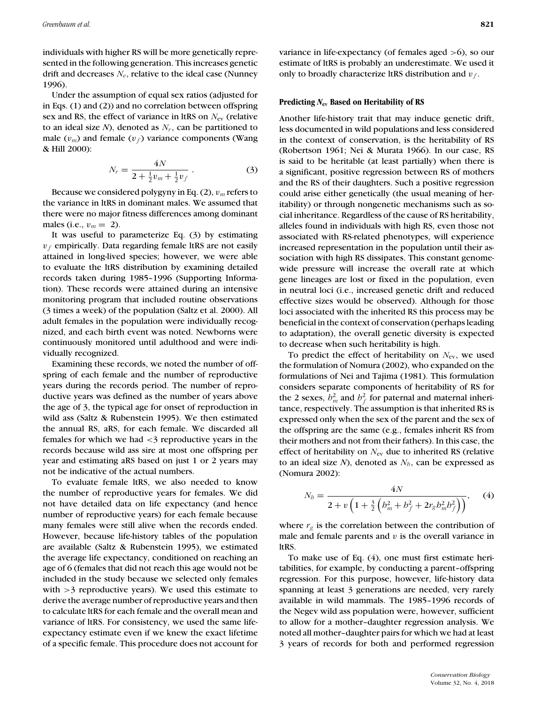individuals with higher RS will be more genetically represented in the following generation. This increases genetic drift and decreases *Ne*, relative to the ideal case (Nunney 1996).

Under the assumption of equal sex ratios (adjusted for in Eqs. (1) and (2)) and no correlation between offspring sex and RS, the effect of variance in ltRS on *N*ev (relative to an ideal size  $N$ ), denoted as  $N_r$ , can be partitioned to male  $(v_m)$  and female  $(v_f)$  variance components (Wang & Hill 2000):

$$
N_r = \frac{4N}{2 + \frac{1}{2}v_m + \frac{1}{2}v_f} \,. \tag{3}
$$

Because we considered polygyny in Eq. (2), *v<sup>m</sup>* refers to the variance in ltRS in dominant males. We assumed that there were no major fitness differences among dominant males (i.e.,  $v_m = 2$ ).

It was useful to parameterize Eq. (3) by estimating  $v_f$  empirically. Data regarding female ltRS are not easily attained in long-lived species; however, we were able to evaluate the ltRS distribution by examining detailed records taken during 1985–1996 (Supporting Information). These records were attained during an intensive monitoring program that included routine observations (3 times a week) of the population (Saltz et al. 2000). All adult females in the population were individually recognized, and each birth event was noted. Newborns were continuously monitored until adulthood and were individually recognized.

Examining these records, we noted the number of offspring of each female and the number of reproductive years during the records period. The number of reproductive years was defined as the number of years above the age of 3, the typical age for onset of reproduction in wild ass (Saltz & Rubenstein 1995). We then estimated the annual RS, aRS, for each female. We discarded all females for which we had *<*3 reproductive years in the records because wild ass sire at most one offspring per year and estimating aRS based on just 1 or 2 years may not be indicative of the actual numbers.

To evaluate female ltRS, we also needed to know the number of reproductive years for females. We did not have detailed data on life expectancy (and hence number of reproductive years) for each female because many females were still alive when the records ended. However, because life-history tables of the population are available (Saltz & Rubenstein 1995), we estimated the average life expectancy, conditioned on reaching an age of 6 (females that did not reach this age would not be included in the study because we selected only females with *>*3 reproductive years). We used this estimate to derive the average number of reproductive years and then to calculate ltRS for each female and the overall mean and variance of ltRS. For consistency, we used the same lifeexpectancy estimate even if we knew the exact lifetime of a specific female. This procedure does not account for variance in life-expectancy (of females aged *>*6), so our estimate of ltRS is probably an underestimate. We used it only to broadly characterize ltRS distribution and *v <sup>f</sup>* .

#### **Predicting** *N***ev Based on Heritability of RS**

Another life-history trait that may induce genetic drift, less documented in wild populations and less considered in the context of conservation, is the heritability of RS (Robertson 1961; Nei & Murata 1966). In our case, RS is said to be heritable (at least partially) when there is a significant, positive regression between RS of mothers and the RS of their daughters. Such a positive regression could arise either genetically (the usual meaning of heritability) or through nongenetic mechanisms such as social inheritance. Regardless of the cause of RS heritability, alleles found in individuals with high RS, even those not associated with RS-related phenotypes, will experience increased representation in the population until their association with high RS dissipates. This constant genomewide pressure will increase the overall rate at which gene lineages are lost or fixed in the population, even in neutral loci (i.e., increased genetic drift and reduced effective sizes would be observed). Although for those loci associated with the inherited RS this process may be beneficial in the context of conservation (perhaps leading to adaptation), the overall genetic diversity is expected to decrease when such heritability is high.

To predict the effect of heritability on *N*ev, we used the formulation of Nomura (2002), who expanded on the formulations of Nei and Tajima (1981). This formulation considers separate components of heritability of RS for the 2 sexes,  $h_m^2$  and  $h_f^2$  for paternal and maternal inheritance, respectively. The assumption is that inherited RS is expressed only when the sex of the parent and the sex of the offspring are the same (e.g., females inherit RS from their mothers and not from their fathers). In this case, the effect of heritability on *N*<sub>ev</sub> due to inherited RS (relative to an ideal size  $N$ ), denoted as  $N<sub>b</sub>$ , can be expressed as (Nomura 2002):

$$
N_b = \frac{4N}{2 + v \left(1 + \frac{3}{2} \left(b_m^2 + b_f^2 + 2r_g b_m^2 b_f^2\right)\right)},
$$
 (4)

where  $r_g$  is the correlation between the contribution of male and female parents and *v* is the overall variance in ltRS.

To make use of Eq. (4), one must first estimate heritabilities, for example, by conducting a parent–offspring regression. For this purpose, however, life-history data spanning at least 3 generations are needed, very rarely available in wild mammals. The 1985–1996 records of the Negev wild ass population were, however, sufficient to allow for a mother–daughter regression analysis. We noted all mother–daughter pairs for which we had at least 3 years of records for both and performed regression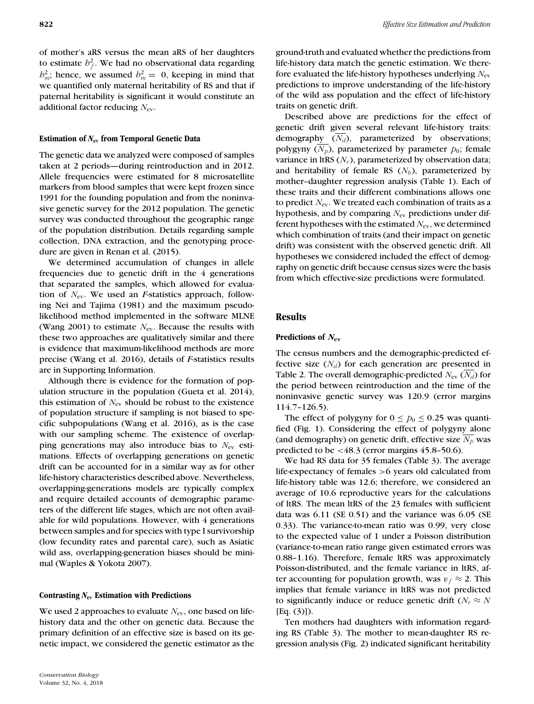of mother's aRS versus the mean aRS of her daughters to estimate  $h_f^2$ . We had no observational data regarding  $h_m^2$ ; hence, we assumed  $h_m^2 = 0$ , keeping in mind that we quantified only maternal heritability of RS and that if paternal heritability is significant it would constitute an additional factor reducing *N*ev.

## **Estimation of** *N***ev from Temporal Genetic Data**

The genetic data we analyzed were composed of samples taken at 2 periods—during reintroduction and in 2012. Allele frequencies were estimated for 8 microsatellite markers from blood samples that were kept frozen since 1991 for the founding population and from the noninvasive genetic survey for the 2012 population. The genetic survey was conducted throughout the geographic range of the population distribution. Details regarding sample collection, DNA extraction, and the genotyping procedure are given in Renan et al. (2015).

We determined accumulation of changes in allele frequencies due to genetic drift in the 4 generations that separated the samples, which allowed for evaluation of *N*ev. We used an *F*-statistics approach, following Nei and Tajima (1981) and the maximum pseudolikelihood method implemented in the software MLNE (Wang 2001) to estimate  $N_{\text{ev}}$ . Because the results with these two approaches are qualitatively similar and there is evidence that maximum-likelihood methods are more precise (Wang et al. 2016), details of *F*-statistics results are in Supporting Information.

Although there is evidence for the formation of population structure in the population (Gueta et al. 2014), this estimation of  $N_{\text{ev}}$  should be robust to the existence of population structure if sampling is not biased to specific subpopulations (Wang et al. 2016), as is the case with our sampling scheme. The existence of overlapping generations may also introduce bias to *N*ev estimations. Effects of overlapping generations on genetic drift can be accounted for in a similar way as for other life-history characteristics described above. Nevertheless, overlapping-generations models are typically complex and require detailed accounts of demographic parameters of the different life stages, which are not often available for wild populations. However, with 4 generations between samples and for species with type I survivorship (low fecundity rates and parental care), such as Asiatic wild ass, overlapping-generation biases should be minimal (Waples & Yokota 2007).

#### **Contrasting** *N***ev Estimation with Predictions**

We used 2 approaches to evaluate *N*<sub>ev</sub>, one based on lifehistory data and the other on genetic data. Because the primary definition of an effective size is based on its genetic impact, we considered the genetic estimator as the ground-truth and evaluated whether the predictions from life-history data match the genetic estimation. We therefore evaluated the life-history hypotheses underlying *N*ev predictions to improve understanding of the life-history of the wild ass population and the effect of life-history traits on genetic drift.

Described above are predictions for the effect of genetic drift given several relevant life-history traits: demography  $(N_d)$ , parameterized by observations; polygyny  $(N_p)$ , parameterized by parameter  $p_0$ ; female variance in ltRS  $(N_r)$ , parameterized by observation data; and heritability of female RS  $(N_h)$ , parameterized by mother–daughter regression analysis (Table 1). Each of these traits and their different combinations allows one to predict *N*ev. We treated each combination of traits as a hypothesis, and by comparing *N*ev predictions under different hypotheses with the estimated *N*ev, we determined which combination of traits (and their impact on genetic drift) was consistent with the observed genetic drift. All hypotheses we considered included the effect of demography on genetic drift because census sizes were the basis from which effective-size predictions were formulated.

## **Results**

## **Predictions of** *N***ev**

The census numbers and the demographic-predicted effective size  $(N_d)$  for each generation are presented in Table 2. The overall demographic-predicted  $N_{ev}$  ( $N_d$ ) for the period between reintroduction and the time of the noninvasive genetic survey was 120*.*9 (error margins 114.7–126.5).

The effect of polygyny for  $0 \le p_0 \le 0.25$  was quantified (Fig. 1). Considering the effect of polygyny alone (and demography) on genetic drift, effective size  $N_p$  was predicted to be *<*48*.*3 (error margins 45.8–50.6).

We had RS data for 35 females (Table 3). The average life-expectancy of females *>*6 years old calculated from life-history table was 12.6; therefore, we considered an average of 10.6 reproductive years for the calculations of ltRS. The mean ltRS of the 23 females with sufficient data was 6.11 (SE 0.51) and the variance was 6.05 (SE 0.33). The variance-to-mean ratio was 0.99, very close to the expected value of 1 under a Poisson distribution (variance-to-mean ratio range given estimated errors was 0.88–1.16). Therefore, female ltRS was approximately Poisson-distributed, and the female variance in ltRS, after accounting for population growth, was  $v_f \approx 2$ . This implies that female variance in ltRS was not predicted to significantly induce or reduce genetic drift ( $N_r \approx N$ [Eq. (3)]).

Ten mothers had daughters with information regarding RS (Table 3). The mother to mean-daughter RS regression analysis (Fig. 2) indicated significant heritability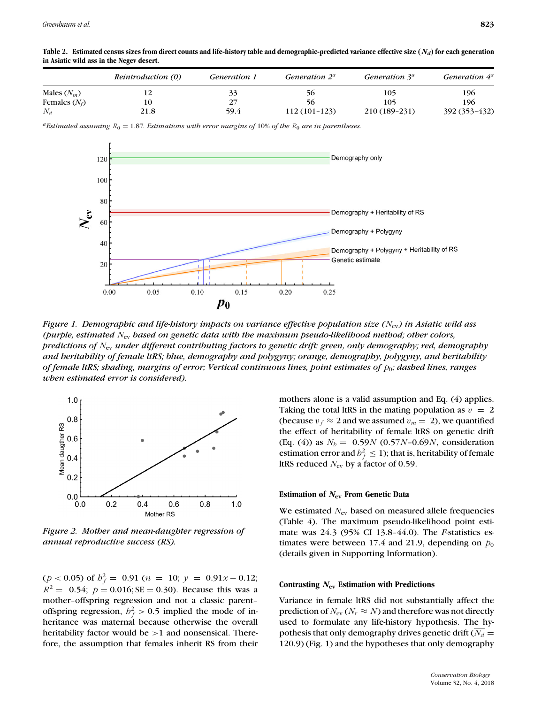|                 | Reintroduction (0) | <i>Generation 1</i> | Generation $2^a$ | Generation 3 <sup>a</sup> | Generation $4^a$ |  |  |
|-----------------|--------------------|---------------------|------------------|---------------------------|------------------|--|--|
| Males $(N_m)$   |                    |                     | 56               | 105                       | 196              |  |  |
| Females $(N_f)$ | 10                 | 27                  | -56              | 105                       | 196              |  |  |
| $N_d$           | 21.8               | 59.4                | 112 (101-123)    | 210 (189-231)             | 392 (353-432)    |  |  |

**Table 2. Estimated census sizes from direct counts and life-history table and demographic-predicted variance effective size (***Nd***) for each generation in Asiatic wild ass in the Negev desert.**

 $a<sup>a</sup>$ *Estimated assuming*  $R_0 = 1.87$ *. Estimations with error margins of* 10% *of the*  $R_0$  *are in parentheses.* 



*Figure 1. Demographic and life-history impacts on variance effective population size (N*ev*) in Asiatic wild ass (purple, estimated N*ev *based on genetic data with the maximum pseudo-likelihood method; other colors, predictions of N*ev *under different contributing factors to genetic drift: green, only demography; red, demography and heritability of female ltRS; blue, demography and polygyny; orange, demography, polygyny, and heritability of female ltRS; shading, margins of error; Vertical continuous lines, point estimates of p*0*; dashed lines, ranges when estimated error is considered).*



*Figure 2. Mother and mean-daughter regression of annual reproductive success (RS).*

 $(p < 0.05)$  of  $h_f^2 = 0.91$   $(n = 10; y = 0.91x - 0.12;$  $R^2 = 0.54$ ;  $p = 0.016$ ; SE = 0.30). Because this was a mother–offspring regression and not a classic parent– offspring regression,  $h_f^2 > 0.5$  implied the mode of inheritance was maternal because otherwise the overall heritability factor would be *>*1 and nonsensical. Therefore, the assumption that females inherit RS from their mothers alone is a valid assumption and Eq. (4) applies. Taking the total ltRS in the mating population as  $v = 2$ (because  $v_f \approx 2$  and we assumed  $v_m = 2$ ), we quantified the effect of heritability of female ltRS on genetic drift (Eq. (4)) as  $N_b = 0.59N (0.57N - 0.69N)$ , consideration estimation error and  $h_f^2 \leq 1$ ); that is, heritability of female ltRS reduced *N*ev by a factor of 0.59.

#### **Estimation of** *N***ev From Genetic Data**

We estimated *N*<sub>ev</sub> based on measured allele frequencies (Table 4). The maximum pseudo-likelihood point estimate was 24*.*3 (95% CI 13.8–44.0). The *F*-statistics estimates were between 17.4 and 21.9, depending on  $p_0$ (details given in Supporting Information).

#### **Contrasting** *N***ev Estimation with Predictions**

Variance in female ltRS did not substantially affect the prediction of  $N_{\text{ev}}$  ( $N_r \approx N$ ) and therefore was not directly used to formulate any life-history hypothesis. The hypothesis that only demography drives genetic drift  $(N_d =$ 120*.*9) (Fig. 1) and the hypotheses that only demography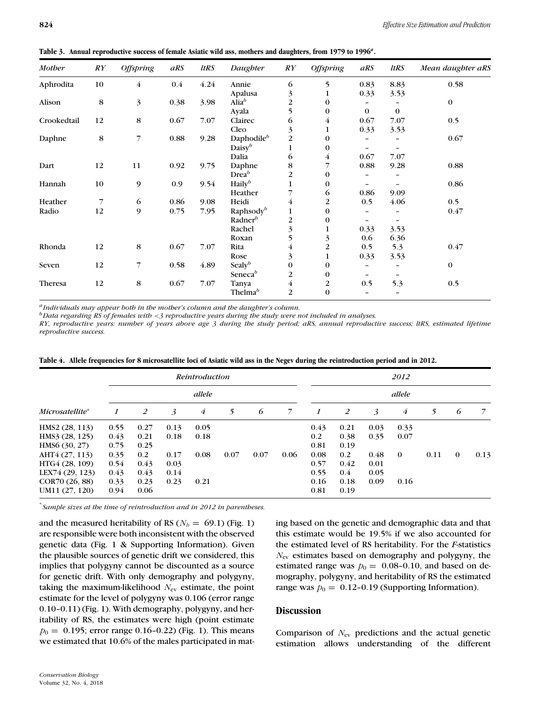| <b>Mother</b> | $\mathbb{R}Y$ | <b>Offspring</b> | aRS     | <b>ltRS</b> | Daughter               | $\mathbb{R}Y$<br>6 | <b>Offspring</b> | aRS               | <b>ltRS</b> | Mean daughter aRS |  |  |
|---------------|---------------|------------------|---------|-------------|------------------------|--------------------|------------------|-------------------|-------------|-------------------|--|--|
| Aphrodita     | 10            | 4                | $0.4\,$ | 4.24        | Annie                  |                    | 5                | 0.83              | 8.83        | 0.58              |  |  |
|               |               |                  |         |             | Apalusa                | 3                  | $\mathbf{1}$     | 0.33              | 3.53        |                   |  |  |
| Alison        | 8             | 3                | 0.38    | 3.98        | Alia $^b$              | $\overline{c}$     | $\bf{0}$         |                   |             | $\bf{0}$          |  |  |
|               |               |                  |         |             | Ayala                  | 5                  | $\mathbf{0}$     | $\mathbf{0}$      | $\Omega$    |                   |  |  |
| Crookedtail   | 12            | 8                | 0.67    | 7.07        | Clairec                | 6                  | 4                | 0.67              | 7.07        | 0.5               |  |  |
|               |               |                  |         |             | Cleo                   | 3                  | $\mathbf{1}$     | 0.33              | 3.53        |                   |  |  |
| Daphne        | 8             | 7                | 0.88    | 9.28        | Daphodile <sup>b</sup> | $\overline{2}$     | $\Omega$         |                   |             | 0.67              |  |  |
|               |               |                  |         |             | Daisy $b$              |                    | 0                |                   |             |                   |  |  |
|               |               |                  |         |             | Dalia                  | 6                  | 4                | 0.67              | 7.07        |                   |  |  |
| Dart          | 12            | 11               | 0.92    | 9.75        | Daphne                 | 8                  |                  | 0.88              | 9.28        | 0.88              |  |  |
|               |               |                  |         |             | Drea <sup>b</sup>      | 2                  | $\Omega$         |                   |             |                   |  |  |
| Hannah        | 10            | 9                | 0.9     | 9.54        | Haily <sup>b</sup>     |                    | $\bf{0}$         |                   |             | 0.86              |  |  |
|               |               |                  |         |             | Heather                |                    | 6                | 0.86              | 9.09        |                   |  |  |
| Heather       | 7             | 6                | 0.86    | 9.08        | Heidi                  | 4                  | $\overline{2}$   | 0.5               | 4.06        | 0.5               |  |  |
| Radio         | 12            | 9                | 0.75    | 7.95        | Raphsody <sup>b</sup>  |                    | 0                |                   |             | 0.47              |  |  |
|               |               |                  |         |             | Radner $\mathcal{P}$   | 2                  | $\Omega$         |                   |             |                   |  |  |
|               |               |                  |         |             | Rachel                 | 3                  |                  | 0.33              | 3.53        |                   |  |  |
|               |               |                  |         |             | Roxan                  | 5                  | 3                | 0.6               | 6.36        |                   |  |  |
| Rhonda        | 12            | 8                | 0.67    | 7.07        | Rita                   | 4                  | $\overline{2}$   | 0.5               | 5.3         | 0.47              |  |  |
|               |               |                  |         |             | Rose                   | 3                  | $\mathbf{1}$     | 0.33              | 3.53        |                   |  |  |
| Seven         | 12            | 7                | 0.58    | 4.89        | Sealy $b$              | $\mathbf{0}$       | $\bf{0}$         | $\qquad \qquad -$ |             | $\bf{0}$          |  |  |
|               |               |                  |         |             | Seneca $\mathfrak{b}$  | 2                  | $\bf{0}$         |                   |             |                   |  |  |
| Theresa       | 12            | 8                | 0.67    | 7.07        | Tanya                  | 4                  | 2                | 0.5               | 5.3         | 0.5               |  |  |
|               |               |                  |         |             | Thelma <sup>b</sup>    | $\overline{2}$     | $\mathbf{0}$     |                   |             |                   |  |  |

**Table 3. Annual reproductive success of female Asiatic wild ass, mothers and daughters, from 1979 to 1996***<sup>a</sup>***.**

*aIndividuals may appear both in the mother's column and the daughter's column.*

*bData regarding RS of females with <3 reproductive years during the study were not included in analyses.*

*RY, reproductive years: number of years above age 3 during the study period; aRS, annual reproductive success; ltRS, estimated lifetime reproductive success.*

|                 | <b>Reintroduction</b><br>allele |      |      |      |      |      |      |      | 2012<br>allele |      |          |      |              |      |  |
|-----------------|---------------------------------|------|------|------|------|------|------|------|----------------|------|----------|------|--------------|------|--|
|                 |                                 |      |      |      |      |      |      |      |                |      |          |      |              |      |  |
| Microsatellite* | 1                               | 2    | 3    | 4    | 5    | 6    | 7    | 1    | 2              | 3    | 4        | 5    | 6            | 7    |  |
| HMS2 (28, 113)  | 0.55                            | 0.27 | 0.13 | 0.05 |      |      |      | 0.43 | 0.21           | 0.03 | 0.33     |      |              |      |  |
| HMS3 (28, 125)  | 0.43                            | 0.21 | 0.18 | 0.18 |      |      |      | 0.2  | 0.38           | 0.35 | 0.07     |      |              |      |  |
| HMS6(30, 27)    | 0.75                            | 0.25 |      |      |      |      |      | 0.81 | 0.19           |      |          |      |              |      |  |
| AHT4 (27, 113)  | 0.35                            | 0.2  | 0.17 | 0.08 | 0.07 | 0.07 | 0.06 | 0.08 | 0.2            | 0.48 | $\Omega$ | 0.11 | $\mathbf{0}$ | 0.13 |  |
| HTG4 (28, 109)  | 0.54                            | 0.43 | 0.03 |      |      |      |      | 0.57 | 0.42           | 0.01 |          |      |              |      |  |
| LEX74 (29, 123) | 0.43                            | 0.43 | 0.14 |      |      |      |      | 0.55 | 0.4            | 0.05 |          |      |              |      |  |
| COR70 (26, 88)  | 0.33                            | 0.23 | 0.23 | 0.21 |      |      |      | 0.16 | 0.18           | 0.09 | 0.16     |      |              |      |  |
| UM11 (27, 120)  | 0.94                            | 0.06 |      |      |      |      |      | 0.81 | 0.19           |      |          |      |              |      |  |

**Table 4. Allele frequencies for 8 microsatellite loci of Asiatic wild ass in the Negev during the reintroduction period and in 2012.**

∗ *Sample sizes at the time of reintroduction and in 2012 in parentheses.*

and the measured heritability of RS ( $N_b = 69.1$ ) (Fig. 1) are responsible were both inconsistent with the observed genetic data (Fig. 1 & Supporting Information). Given the plausible sources of genetic drift we considered, this implies that polygyny cannot be discounted as a source for genetic drift. With only demography and polygyny, taking the maximum-likelihood  $N_{\text{ev}}$  estimate, the point estimate for the level of polygyny was 0*.*106 (error range 0.10–0.11) (Fig. 1). With demography, polygyny, and heritability of RS, the estimates were high (point estimate  $p_0 = 0.195$ ; error range 0.16–0.22) (Fig. 1). This means we estimated that 10.6% of the males participated in mating based on the genetic and demographic data and that this estimate would be 19.5% if we also accounted for the estimated level of RS heritability. For the *F*-statistics *N*ev estimates based on demography and polygyny, the estimated range was  $p_0 = 0.08$ -0.10, and based on demography, polygyny, and heritability of RS the estimated range was  $p_0 = 0.12$ -0.19 (Supporting Information).

## **Discussion**

Comparison of *N*ev predictions and the actual genetic estimation allows understanding of the different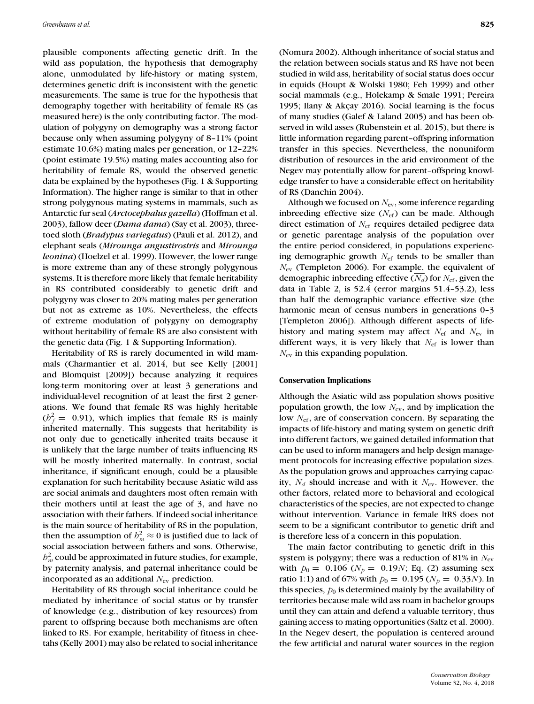plausible components affecting genetic drift. In the wild ass population, the hypothesis that demography alone, unmodulated by life-history or mating system, determines genetic drift is inconsistent with the genetic measurements. The same is true for the hypothesis that demography together with heritability of female RS (as measured here) is the only contributing factor. The modulation of polygyny on demography was a strong factor because only when assuming polygyny of 8–11% (point estimate 10.6%) mating males per generation, or 12–22% (point estimate 19.5%) mating males accounting also for heritability of female RS, would the observed genetic data be explained by the hypotheses (Fig. 1 & Supporting Information). The higher range is similar to that in other strong polygynous mating systems in mammals, such as Antarctic fur seal (*Arctocephalus gazella*) (Hoffman et al. 2003), fallow deer (*Dama dama*) (Say et al. 2003), threetoed sloth (*Bradypus variegatus*) (Pauli et al. 2012), and elephant seals (*Mirounga angustirostris* and *Mirounga leonina*) (Hoelzel et al. 1999). However, the lower range is more extreme than any of these strongly polygynous systems. It is therefore more likely that female heritability in RS contributed considerably to genetic drift and polygyny was closer to 20% mating males per generation but not as extreme as 10%. Nevertheless, the effects of extreme modulation of polygyny on demography without heritability of female RS are also consistent with the genetic data (Fig. 1 & Supporting Information).

Heritability of RS is rarely documented in wild mammals (Charmantier et al. 2014, but see Kelly [2001] and Blomquist [2009]) because analyzing it requires long-term monitoring over at least 3 generations and individual-level recognition of at least the first 2 generations. We found that female RS was highly heritable  $(b_f^2 = 0.91)$ , which implies that female RS is mainly inherited maternally. This suggests that heritability is not only due to genetically inherited traits because it is unlikely that the large number of traits influencing RS will be mostly inherited maternally. In contrast, social inheritance, if significant enough, could be a plausible explanation for such heritability because Asiatic wild ass are social animals and daughters most often remain with their mothers until at least the age of 3, and have no association with their fathers. If indeed social inheritance is the main source of heritability of RS in the population, then the assumption of  $h_m^2 \approx 0$  is justified due to lack of social association between fathers and sons. Otherwise,  $b_m^2$  could be approximated in future studies, for example, by paternity analysis, and paternal inheritance could be incorporated as an additional *N*ev prediction.

Heritability of RS through social inheritance could be mediated by inheritance of social status or by transfer of knowledge (e.g., distribution of key resources) from parent to offspring because both mechanisms are often linked to RS. For example, heritability of fitness in cheetahs (Kelly 2001) may also be related to social inheritance (Nomura 2002). Although inheritance of social status and the relation between socials status and RS have not been studied in wild ass, heritability of social status does occur in equids (Houpt & Wolski 1980; Feh 1999) and other social mammals (e.g., Holekamp & Smale 1991; Pereira 1995; Ilany & Akçay 2016). Social learning is the focus of many studies (Galef & Laland 2005) and has been observed in wild asses (Rubenstein et al. 2015), but there is little information regarding parent–offspring information transfer in this species. Nevertheless, the nonuniform distribution of resources in the arid environment of the Negev may potentially allow for parent–offspring knowledge transfer to have a considerable effect on heritability of RS (Danchin 2004).

Although we focused on *N*ev, some inference regarding inbreeding effective size  $(N_{\text{ef}})$  can be made. Although direct estimation of *N*ef requires detailed pedigree data or genetic parentage analysis of the population over the entire period considered, in populations experiencing demographic growth *N*ef tends to be smaller than *N*ev (Templeton 2006). For example, the equivalent of demographic inbreeding effective ( $N_d$ ) for  $N_{\text{ef}}$ , given the data in Table 2, is 52*.*4 (error margins 51.4–53.2), less than half the demographic variance effective size (the harmonic mean of census numbers in generations 0-3 [Templeton 2006]). Although different aspects of lifehistory and mating system may affect *N*<sub>ef</sub> and *N*<sub>ev</sub> in different ways, it is very likely that *N*ef is lower than *N*ev in this expanding population.

### **Conservation Implications**

Although the Asiatic wild ass population shows positive population growth, the low *N*ev, and by implication the low *N*ef, are of conservation concern. By separating the impacts of life-history and mating system on genetic drift into different factors, we gained detailed information that can be used to inform managers and help design management protocols for increasing effective population sizes. As the population grows and approaches carrying capacity, *Nd* should increase and with it *N*ev. However, the other factors, related more to behavioral and ecological characteristics of the species, are not expected to change without intervention. Variance in female ltRS does not seem to be a significant contributor to genetic drift and is therefore less of a concern in this population.

The main factor contributing to genetic drift in this system is polygyny; there was a reduction of 81% in  $N_{\rm ev}$ with  $p_0 = 0.106$  ( $N_p = 0.19N$ ; Eq. (2) assuming sex ratio 1:1) and of 67% with  $p_0 = 0.195$  ( $N_p = 0.33$ *N*). In this species,  $p_0$  is determined mainly by the availability of territories because male wild ass roam in bachelor groups until they can attain and defend a valuable territory, thus gaining access to mating opportunities (Saltz et al. 2000). In the Negev desert, the population is centered around the few artificial and natural water sources in the region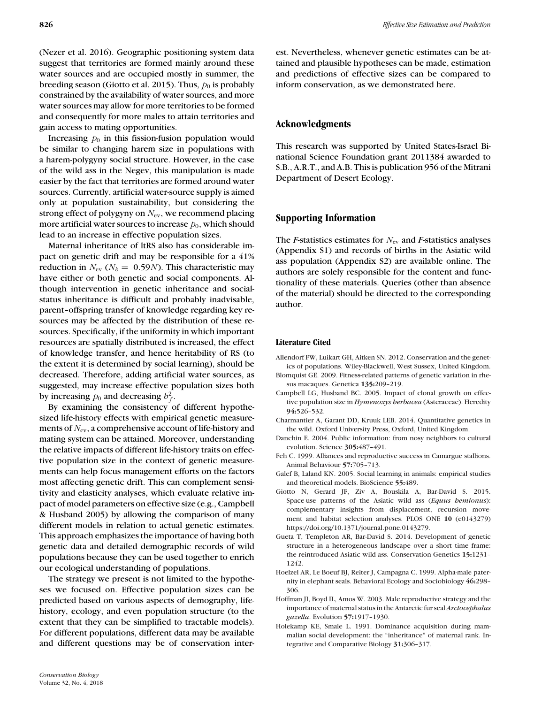(Nezer et al. 2016). Geographic positioning system data suggest that territories are formed mainly around these water sources and are occupied mostly in summer, the breeding season (Giotto et al. 2015). Thus,  $p_0$  is probably constrained by the availability of water sources, and more water sources may allow for more territories to be formed and consequently for more males to attain territories and gain access to mating opportunities.

Increasing  $p_0$  in this fission-fusion population would be similar to changing harem size in populations with a harem-polygyny social structure. However, in the case of the wild ass in the Negev, this manipulation is made easier by the fact that territories are formed around water sources. Currently, artificial water-source supply is aimed only at population sustainability, but considering the strong effect of polygyny on  $N_{\text{ev}}$ , we recommend placing more artificial water sources to increase  $p_0$ , which should lead to an increase in effective population sizes.

Maternal inheritance of ltRS also has considerable impact on genetic drift and may be responsible for a 41% reduction in  $N_{\text{ev}}$  ( $N_b = 0.59N$ ). This characteristic may have either or both genetic and social components. Although intervention in genetic inheritance and socialstatus inheritance is difficult and probably inadvisable, parent–offspring transfer of knowledge regarding key resources may be affected by the distribution of these resources. Specifically, if the uniformity in which important resources are spatially distributed is increased, the effect of knowledge transfer, and hence heritability of RS (to the extent it is determined by social learning), should be decreased. Therefore, adding artificial water sources, as suggested, may increase effective population sizes both by increasing  $p_0$  and decreasing  $b_f^2$ .

By examining the consistency of different hypothesized life-history effects with empirical genetic measurements of *N*ev, a comprehensive account of life-history and mating system can be attained. Moreover, understanding the relative impacts of different life-history traits on effective population size in the context of genetic measurements can help focus management efforts on the factors most affecting genetic drift. This can complement sensitivity and elasticity analyses, which evaluate relative impact of model parameters on effective size (e.g., Campbell & Husband 2005) by allowing the comparison of many different models in relation to actual genetic estimates. This approach emphasizes the importance of having both genetic data and detailed demographic records of wild populations because they can be used together to enrich our ecological understanding of populations.

The strategy we present is not limited to the hypotheses we focused on. Effective population sizes can be predicted based on various aspects of demography, lifehistory, ecology, and even population structure (to the extent that they can be simplified to tractable models). For different populations, different data may be available and different questions may be of conservation interest. Nevertheless, whenever genetic estimates can be attained and plausible hypotheses can be made, estimation and predictions of effective sizes can be compared to inform conservation, as we demonstrated here.

# **Acknowledgments**

This research was supported by United States-Israel Binational Science Foundation grant 2011384 awarded to S.B., A.R.T., and A.B. This is publication 956 of the Mitrani Department of Desert Ecology.

## **Supporting Information**

The *F*-statistics estimates for  $N_{\text{ev}}$  and *F*-statistics analyses (Appendix S1) and records of births in the Asiatic wild ass population (Appendix S2) are available online. The authors are solely responsible for the content and functionality of these materials. Queries (other than absence of the material) should be directed to the corresponding author.

## **Literature Cited**

- Allendorf FW, Luikart GH, Aitken SN. 2012. Conservation and the genetics of populations. Wiley-Blackwell, West Sussex, United Kingdom.
- Blomquist GE. 2009. Fitness-related patterns of genetic variation in rhesus macaques. Genetica **135:**209–219.
- Campbell LG, Husband BC. 2005. Impact of clonal growth on effective population size in *Hymenoxys herbacea* (Asteraceae). Heredity **94:**526–532.
- Charmantier A, Garant DD, Kruuk LEB. 2014. Quantitative genetics in the wild. Oxford University Press, Oxford, United Kingdom.
- Danchin E. 2004. Public information: from nosy neighbors to cultural evolution. Science **305:**487–491.
- Feh C. 1999. Alliances and reproductive success in Camargue stallions. Animal Behaviour **57:**705–713.
- Galef B, Laland KN. 2005. Social learning in animals: empirical studies and theoretical models. BioScience **55:**489.
- Giotto N, Gerard JF, Ziv A, Bouskila A, Bar-David S. 2015. Space-use patterns of the Asiatic wild ass (*Equus hemionus*): complementary insights from displacement, recursion movement and habitat selection analyses. PLOS ONE **10** (e0143279) [https://doi.org/10.1371/journal.pone.0143279.](https://doi.org/10.1371/journal.pone.0143279)
- Gueta T, Templeton AR, Bar-David S. 2014. Development of genetic structure in a heterogeneous landscape over a short time frame: the reintroduced Asiatic wild ass. Conservation Genetics **15:**1231– 1242.
- Hoelzel AR, Le Boeuf BJ, Reiter J, Campagna C. 1999. Alpha-male paternity in elephant seals. Behavioral Ecology and Sociobiology **46:**298– 306.
- Hoffman JI, Boyd IL, Amos W. 2003. Male reproductive strategy and the importance of maternal status in the Antarctic fur seal *Arctocephalus gazella*. Evolution **57:**1917–1930.
- Holekamp KE, Smale L. 1991. Dominance acquisition during mammalian social development: the "inheritance" of maternal rank. Integrative and Comparative Biology **31:**306–317.